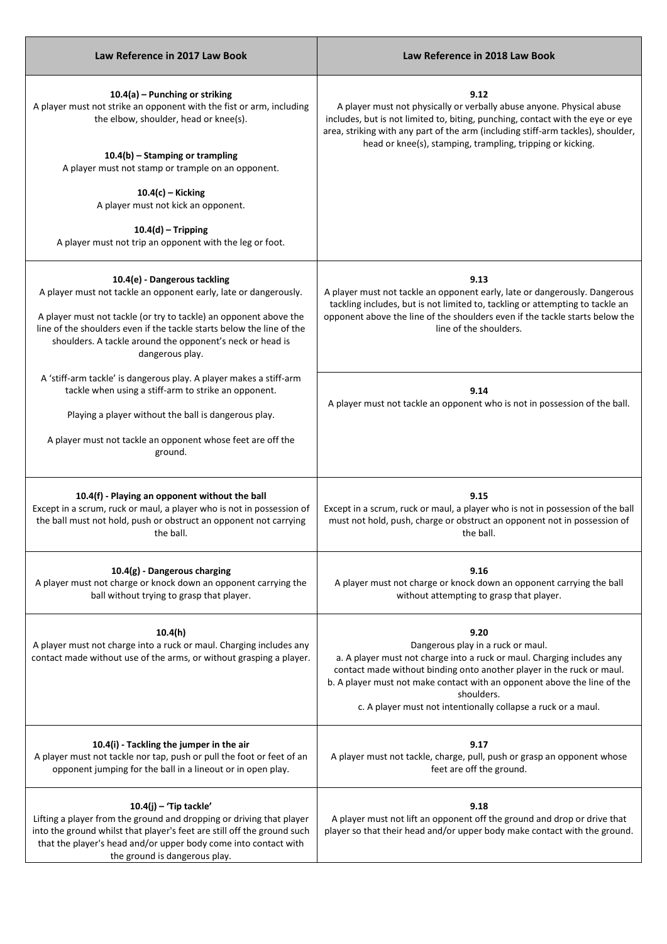| Law Reference in 2017 Law Book                                                                                                                                                                                                                                                                                                 | Law Reference in 2018 Law Book                                                                                                                                                                                                                                                                                                                          |
|--------------------------------------------------------------------------------------------------------------------------------------------------------------------------------------------------------------------------------------------------------------------------------------------------------------------------------|---------------------------------------------------------------------------------------------------------------------------------------------------------------------------------------------------------------------------------------------------------------------------------------------------------------------------------------------------------|
| $10.4(a)$ – Punching or striking<br>A player must not strike an opponent with the fist or arm, including<br>the elbow, shoulder, head or knee(s).                                                                                                                                                                              | 9.12<br>A player must not physically or verbally abuse anyone. Physical abuse<br>includes, but is not limited to, biting, punching, contact with the eye or eye<br>area, striking with any part of the arm (including stiff-arm tackles), shoulder,                                                                                                     |
| $10.4(b)$ – Stamping or trampling<br>A player must not stamp or trample on an opponent.                                                                                                                                                                                                                                        | head or knee(s), stamping, trampling, tripping or kicking.                                                                                                                                                                                                                                                                                              |
| $10.4(c)$ – Kicking<br>A player must not kick an opponent.                                                                                                                                                                                                                                                                     |                                                                                                                                                                                                                                                                                                                                                         |
| $10.4(d)$ – Tripping<br>A player must not trip an opponent with the leg or foot.                                                                                                                                                                                                                                               |                                                                                                                                                                                                                                                                                                                                                         |
| 10.4(e) - Dangerous tackling<br>A player must not tackle an opponent early, late or dangerously.<br>A player must not tackle (or try to tackle) an opponent above the<br>line of the shoulders even if the tackle starts below the line of the<br>shoulders. A tackle around the opponent's neck or head is<br>dangerous play. | 9.13<br>A player must not tackle an opponent early, late or dangerously. Dangerous<br>tackling includes, but is not limited to, tackling or attempting to tackle an<br>opponent above the line of the shoulders even if the tackle starts below the<br>line of the shoulders.                                                                           |
| A 'stiff-arm tackle' is dangerous play. A player makes a stiff-arm<br>tackle when using a stiff-arm to strike an opponent.<br>Playing a player without the ball is dangerous play.<br>A player must not tackle an opponent whose feet are off the<br>ground.                                                                   | 9.14<br>A player must not tackle an opponent who is not in possession of the ball.                                                                                                                                                                                                                                                                      |
| 10.4(f) - Playing an opponent without the ball<br>Except in a scrum, ruck or maul, a player who is not in possession of<br>the ball must not hold, push or obstruct an opponent not carrying<br>the ball.                                                                                                                      | 9.15<br>Except in a scrum, ruck or maul, a player who is not in possession of the ball<br>must not hold, push, charge or obstruct an opponent not in possession of<br>the ball.                                                                                                                                                                         |
| 10.4(g) - Dangerous charging<br>A player must not charge or knock down an opponent carrying the<br>ball without trying to grasp that player.                                                                                                                                                                                   | 9.16<br>A player must not charge or knock down an opponent carrying the ball<br>without attempting to grasp that player.                                                                                                                                                                                                                                |
| 10.4(h)<br>A player must not charge into a ruck or maul. Charging includes any<br>contact made without use of the arms, or without grasping a player.                                                                                                                                                                          | 9.20<br>Dangerous play in a ruck or maul.<br>a. A player must not charge into a ruck or maul. Charging includes any<br>contact made without binding onto another player in the ruck or maul.<br>b. A player must not make contact with an opponent above the line of the<br>shoulders.<br>c. A player must not intentionally collapse a ruck or a maul. |
| 10.4(i) - Tackling the jumper in the air<br>A player must not tackle nor tap, push or pull the foot or feet of an<br>opponent jumping for the ball in a lineout or in open play.                                                                                                                                               | 9.17<br>A player must not tackle, charge, pull, push or grasp an opponent whose<br>feet are off the ground.                                                                                                                                                                                                                                             |
| $10.4(j)$ - 'Tip tackle'<br>Lifting a player from the ground and dropping or driving that player<br>into the ground whilst that player's feet are still off the ground such<br>that the player's head and/or upper body come into contact with<br>the ground is dangerous play.                                                | 9.18<br>A player must not lift an opponent off the ground and drop or drive that<br>player so that their head and/or upper body make contact with the ground.                                                                                                                                                                                           |